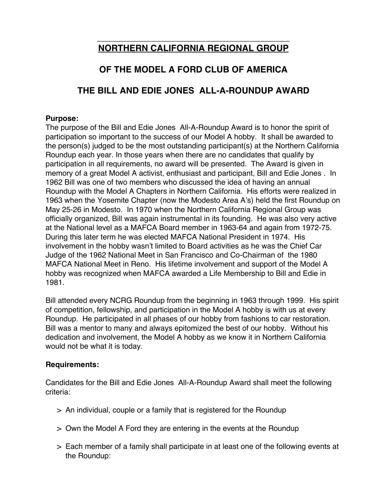# **\_\_\_\_\_\_\_\_\_\_\_\_\_\_\_\_\_\_\_\_\_\_\_\_\_\_\_\_\_\_\_\_\_\_\_\_\_\_\_ NORTHERN CALIFORNIA REGIONAL GROUP**

# **OF THE MODEL A FORD CLUB OF AMERICA**

# **THE BILL AND EDIE JONES ALL-A-ROUNDUP AWARD**

### **Purpose:**

The purpose of the Bill and Edie Jones All-A-Roundup Award is to honor the spirit of participation so important to the success of our Model A hobby. It shall be awarded to the person(s) judged to be the most outstanding participant(s) at the Northern California Roundup each year. In those years when there are no candidates that qualify by participation in all requirements, no award will be presented. The Award is given in memory of a great Model A activist, enthusiast and participant, Bill and Edie Jones . In 1962 Bill was one of two members who discussed the idea of having an annual Roundup with the Model A Chapters in Northern California. His efforts were realized in 1963 when the Yosemite Chapter (now the Modesto Area A's) held the first Roundup on May 25-26 in Modesto. In 1970 when the Northern California Regional Group was officially organized, Bill was again instrumental in its founding. He was also very active at the National level as a MAFCA Board member in 1963-64 and again from 1972-75. During this later term he was elected MAFCA National President in 1974. His involvement in the hobby wasn't limited to Board activities as he was the Chief Car Judge of the 1962 National Meet in San Francisco and Co-Chairman of the 1980 MAFCA National Meet in Reno. His lifetime involvement and support of the Model A hobby was recognized when MAFCA awarded a Life Membership to Bill and Edie in 1981.

Bill attended every NCRG Roundup from the beginning in 1963 through 1999. His spirit of competition, fellowship, and participation in the Model A hobby is with us at every Roundup. He participated in all phases of our hobby from fashions to car restoration. Bill was a mentor to many and always epitomized the best of our hobby. Without his dedication and involvement, the Model A hobby as we know it in Northern California would not be what it is today.

## **Requirements:**

Candidates for the Bill and Edie Jones All-A-Roundup Award shall meet the following criteria:

- > An individual, couple or a family that is registered for the Roundup
- > Own the Model A Ford they are entering in the events at the Roundup
- > Each member of a family shall participate in at least one of the following events at the Roundup: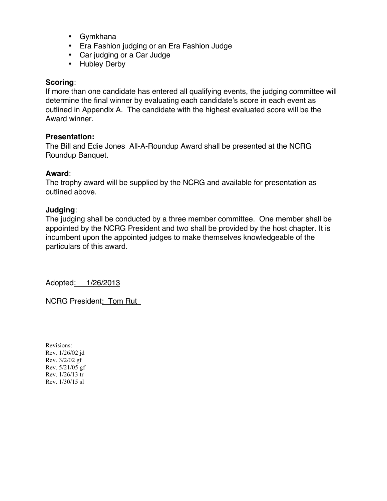- Gymkhana
- Era Fashion judging or an Era Fashion Judge
- Car judging or a Car Judge
- Hubley Derby

### **Scoring**:

If more than one candidate has entered all qualifying events, the judging committee will determine the final winner by evaluating each candidate's score in each event as outlined in Appendix A. The candidate with the highest evaluated score will be the Award winner.

### **Presentation:**

The Bill and Edie Jones All-A-Roundup Award shall be presented at the NCRG Roundup Banquet.

### **Award**:

The trophy award will be supplied by the NCRG and available for presentation as outlined above.

### **Judging**:

The judging shall be conducted by a three member committee. One member shall be appointed by the NCRG President and two shall be provided by the host chapter. It is incumbent upon the appointed judges to make themselves knowledgeable of the particulars of this award.

Adopted: 1/26/2013

NCRG President: Tom Rut

Revisions: Rev. 1/26/02 jd Rev. 3/2/02 gf Rev. 5/21/05 gf Rev. 1/26/13 tr Rev. 1/30/15 sl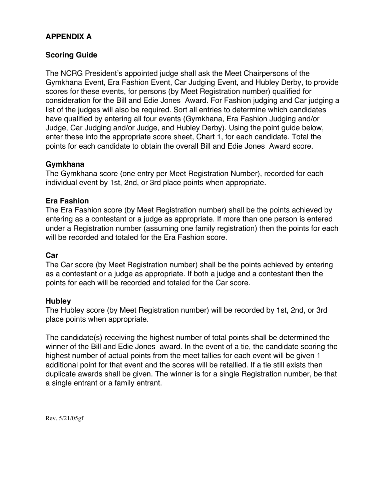## **APPENDIX A**

### **Scoring Guide**

The NCRG President's appointed judge shall ask the Meet Chairpersons of the Gymkhana Event, Era Fashion Event, Car Judging Event, and Hubley Derby, to provide scores for these events, for persons (by Meet Registration number) qualified for consideration for the Bill and Edie Jones Award. For Fashion judging and Car judging a list of the judges will also be required. Sort all entries to determine which candidates have qualified by entering all four events (Gymkhana, Era Fashion Judging and/or Judge, Car Judging and/or Judge, and Hubley Derby). Using the point guide below, enter these into the appropriate score sheet, Chart 1, for each candidate. Total the points for each candidate to obtain the overall Bill and Edie Jones Award score.

### **Gymkhana**

The Gymkhana score (one entry per Meet Registration Number), recorded for each individual event by 1st, 2nd, or 3rd place points when appropriate.

### **Era Fashion**

The Era Fashion score (by Meet Registration number) shall be the points achieved by entering as a contestant or a judge as appropriate. If more than one person is entered under a Registration number (assuming one family registration) then the points for each will be recorded and totaled for the Era Fashion score.

### **Car**

The Car score (by Meet Registration number) shall be the points achieved by entering as a contestant or a judge as appropriate. If both a judge and a contestant then the points for each will be recorded and totaled for the Car score.

### **Hubley**

The Hubley score (by Meet Registration number) will be recorded by 1st, 2nd, or 3rd place points when appropriate.

The candidate(s) receiving the highest number of total points shall be determined the winner of the Bill and Edie Jones award. In the event of a tie, the candidate scoring the highest number of actual points from the meet tallies for each event will be given 1 additional point for that event and the scores will be retallied. If a tie still exists then duplicate awards shall be given. The winner is for a single Registration number, be that a single entrant or a family entrant.

Rev. 5/21/05gf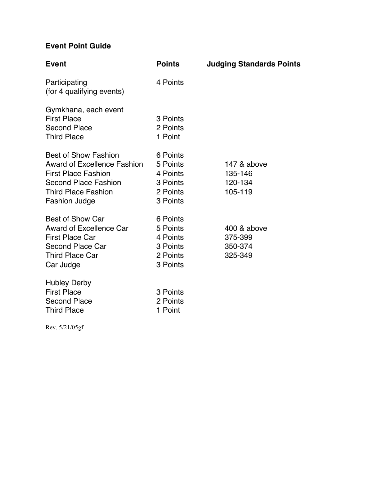# **Event Point Guide**

| <b>Event</b>                                                                                                                                                                  | <b>Points</b>                                                        | <b>Judging Standards Points</b>              |
|-------------------------------------------------------------------------------------------------------------------------------------------------------------------------------|----------------------------------------------------------------------|----------------------------------------------|
| Participating<br>(for 4 qualifying events)                                                                                                                                    | 4 Points                                                             |                                              |
| Gymkhana, each event<br><b>First Place</b><br><b>Second Place</b><br><b>Third Place</b>                                                                                       | 3 Points<br>2 Points<br>1 Point                                      |                                              |
| <b>Best of Show Fashion</b><br><b>Award of Excellence Fashion</b><br><b>First Place Fashion</b><br>Second Place Fashion<br><b>Third Place Fashion</b><br><b>Fashion Judge</b> | 6 Points<br>5 Points<br>4 Points<br>3 Points<br>2 Points<br>3 Points | 147 & above<br>135-146<br>120-134<br>105-119 |
| <b>Best of Show Car</b><br><b>Award of Excellence Car</b><br><b>First Place Car</b><br>Second Place Car<br><b>Third Place Car</b><br>Car Judge                                | 6 Points<br>5 Points<br>4 Points<br>3 Points<br>2 Points<br>3 Points | 400 & above<br>375-399<br>350-374<br>325-349 |
| <b>Hubley Derby</b><br><b>First Place</b><br><b>Second Place</b><br><b>Third Place</b>                                                                                        | 3 Points<br>2 Points<br>1 Point                                      |                                              |

Rev. 5/21/05gf